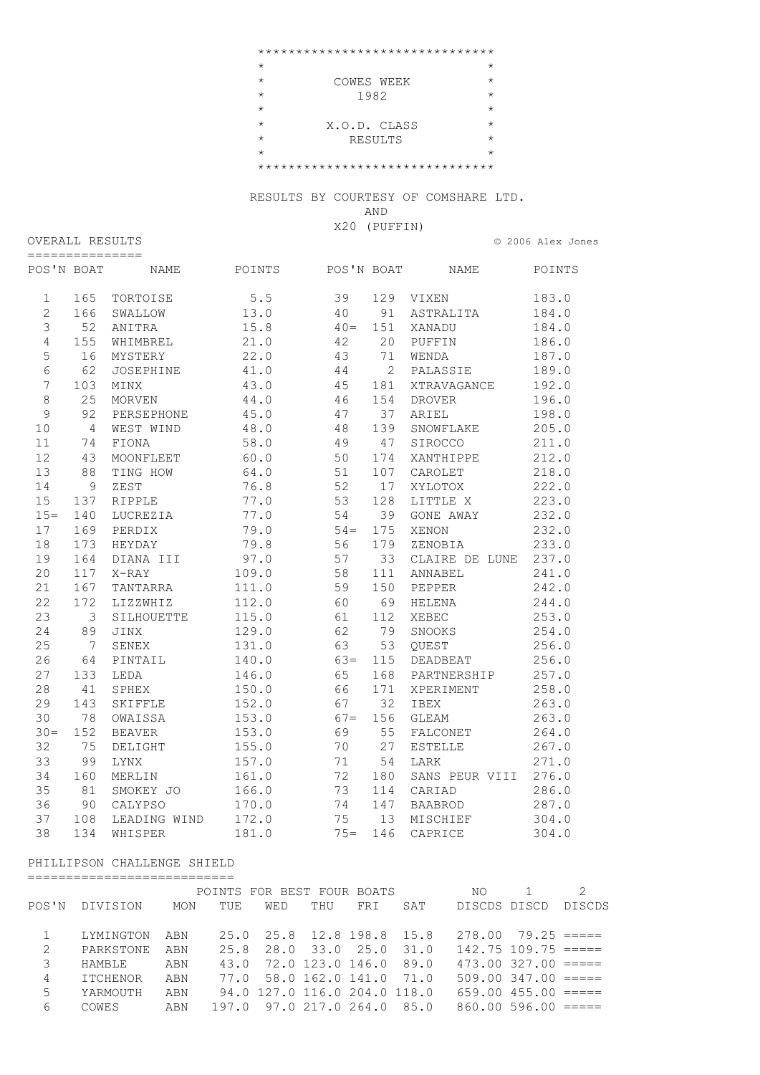|         |              | ******************************* |         |
|---------|--------------|---------------------------------|---------|
| $\star$ |              |                                 | $\star$ |
| $\star$ | COWES WEEK   |                                 | $\star$ |
| $\star$ | 1982         |                                 | $\star$ |
| $\star$ |              |                                 | $\star$ |
| $\star$ | X.O.D. CLASS |                                 | $\star$ |
| $\star$ |              | RESULTS                         | $\star$ |
| $\star$ |              |                                 | $\star$ |
|         |              | ******************************* |         |

RESULTS BY COURTESY OF COMSHARE LTD.

AND

X20 (PUFFIN)

|                                     | OVERALL RESULTS |  | © 2006 Alex Jones |  |
|-------------------------------------|-----------------|--|-------------------|--|
| ________________<br>_______________ |                 |  |                   |  |

| POS'N BOAT     |                | NAME             | POINTS | POS'N BOAT |     | NAME           | POINTS |
|----------------|----------------|------------------|--------|------------|-----|----------------|--------|
| $\mathbf{1}$   | 165            | TORTOISE         | $5.5$  | 39         | 129 | VIXEN          | 183.0  |
| $\overline{2}$ | 166            | SWALLOW          | 13.0   | 40         | 91  | ASTRALITA      | 184.0  |
| $\mathfrak{Z}$ | 52             | ANITRA           | 15.8   | $40 =$     | 151 | XANADU         | 184.0  |
| $\overline{4}$ | 155            | WHIMBREL         | 21.0   | 42         | 20  | PUFFIN         | 186.0  |
| 5              | 16             | MYSTERY          | 22.0   | 43         | 71  | WENDA          | 187.0  |
| $\epsilon$     | 62             | <b>JOSEPHINE</b> | 41.0   | 44         | 2   | PALASSIE       | 189.0  |
| 7              | 103            | MINX             | 43.0   | 45         | 181 | XTRAVAGANCE    | 192.0  |
| $\,8\,$        | 25             | <b>MORVEN</b>    | 44.0   | 46         | 154 | <b>DROVER</b>  | 196.0  |
| $\mathcal{G}$  | 92             | PERSEPHONE       | 45.0   | 47         | 37  | ARIEL          | 198.0  |
| 10             | $\overline{4}$ | WEST WIND        | 48.0   | 48         | 139 | SNOWFLAKE      | 205.0  |
| 11             | 74             | FIONA            | 58.0   | 49         | 47  | SIROCCO        | 211.0  |
| 12             | 43             | MOONFLEET        | 60.0   | 50         | 174 | XANTHIPPE      | 212.0  |
| 13             | 88             | TING HOW         | 64.0   | 51         | 107 | CAROLET        | 218.0  |
| 14             | 9              | ZEST             | 76.8   | 52         | 17  | XYLOTOX        | 222.0  |
| 15             | 137            | RIPPLE           | 77.0   | 53         | 128 | LITTLE X       | 223.0  |
| $15 =$         | 140            | LUCREZIA         | 77.0   | 54         | 39  | GONE AWAY      | 232.0  |
| 17             | 169            | PERDIX           | 79.0   | $54 =$     | 175 | XENON          | 232.0  |
| 18             | 173            | HEYDAY           | 79.8   | 56         | 179 | ZENOBIA        | 233.0  |
| 19             | 164            | DIANA III        | 97.0   | 57         | 33  | CLAIRE DE LUNE | 237.0  |
| 20             | 117            | X-RAY            | 109.0  | 58         | 111 | ANNABEL        | 241.0  |
| 21             | 167            | TANTARRA         | 111.0  | 59         | 150 | PEPPER         | 242.0  |
| 22             | 172            | LIZZWHIZ         | 112.0  | 60         | 69  | HELENA         | 244.0  |
| 23             | 3              | SILHOUETTE       | 115.0  | 61         | 112 | XEBEC          | 253.0  |
| 24             | 89             | JINX             | 129.0  | 62         | 79  | SNOOKS         | 254.0  |
| 25             | 7              | SENEX            | 131.0  | 63         | 53  | OUEST          | 256.0  |
| 26             | 64             | PINTAIL          | 140.0  | $63 =$     | 115 | DEADBEAT       | 256.0  |
| 27             | 133            | LEDA             | 146.0  | 65         | 168 | PARTNERSHIP    | 257.0  |
| 28             | 41             | SPHEX            | 150.0  | 66         | 171 | XPERIMENT      | 258.0  |
| 29             | 143            | SKIFFLE          | 152.0  | 67         | 32  | IBEX           | 263.0  |
| 30             | 78             | OWAISSA          | 153.0  | $67 =$     | 156 | GLEAM          | 263.0  |
| $30 =$         | 152            | <b>BEAVER</b>    | 153.0  | 69         | 55  | FALCONET       | 264.0  |
| 32             | 75             | DELIGHT          | 155.0  | 70         | 27  | <b>ESTELLE</b> | 267.0  |
| 33             | 99             | <b>LYNX</b>      | 157.0  | 71         | 54  | LARK           | 271.0  |
| 34             | 160            | MERLIN           | 161.0  | 72         | 180 | SANS PEUR VIII | 276.0  |
| 35             | 81             | SMOKEY JO        | 166.0  | 73         | 114 | CARIAD         | 286.0  |
| 36             | 90             | CALYPSO          | 170.0  | 74         | 147 | <b>BAABROD</b> | 287.0  |
| 37             | 108            | LEADING WIND     | 172.0  | 75         | 13  | MISCHIEF       | 304.0  |
| 38             | 134            | WHISPER          | 181.0  | $75=$      | 146 | CAPRICE        | 304.0  |

## PHILLIPSON CHALLENGE SHIELD ===========================

|       |                 |     | POINTS FOR BEST FOUR BOATS |     |                              |      |     | NO                       |                          |        |
|-------|-----------------|-----|----------------------------|-----|------------------------------|------|-----|--------------------------|--------------------------|--------|
| POS'N | DIVISION        | MON | TUE                        | WED | THU                          | FR T | SAT | DISCDS DISCD             |                          | DISCDS |
|       |                 |     |                            |     |                              |      |     |                          |                          |        |
|       | LYMINGTON       | ABN |                            |     | 25.0 25.8 12.8 198.8 15.8    |      |     |                          | $278.00$ $79.25 == ==$   |        |
| 2     | PARKSTONE       | ABN |                            |     | 25.8 28.0 33.0 25.0 31.0     |      |     | $142.75$ $109.75$ $====$ |                          |        |
| 3     | HAMBLE          | ABN |                            |     | 43.0 72.0 123.0 146.0 89.0   |      |     |                          | $473.00$ $327.00$ $====$ |        |
| 4     | <b>ITCHENOR</b> | ABN |                            |     | 77.0 58.0 162.0 141.0 71.0   |      |     |                          | $509.00$ $347.00$ $====$ |        |
| 5     | YARMOUTH        | ABN |                            |     | 94.0 127.0 116.0 204.0 118.0 |      |     |                          | $659.00$ $455.00$ $====$ |        |
| 6     | COWES           | ABN |                            |     | 197.0 97.0 217.0 264.0 85.0  |      |     |                          | $860.00$ 596.00 $====$   |        |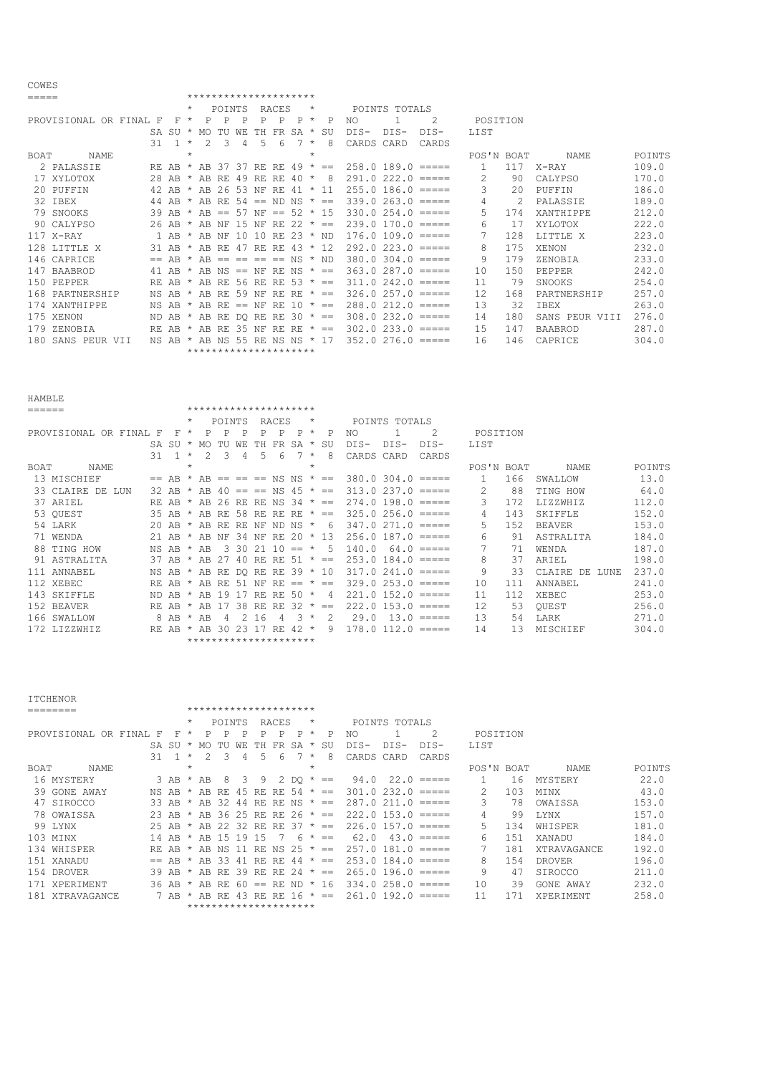| ===== |                        |    |                |         |                     |        |       | *********************    |                 |        |         |              |            |                        |                                                           |            |     |                  |        |
|-------|------------------------|----|----------------|---------|---------------------|--------|-------|--------------------------|-----------------|--------|---------|--------------|------------|------------------------|-----------------------------------------------------------|------------|-----|------------------|--------|
|       |                        |    |                |         |                     | POINTS |       |                          | RACES           |        | *       |              |            | POINTS TOTALS          |                                                           |            |     |                  |        |
|       | PROVISIONAL OR FINAL F |    | F.             | $\star$ | P                   | P      | Ρ     | P                        | P               | P      | $\star$ | P            | NO.        |                        | 2                                                         | POSITION   |     |                  |        |
|       |                        |    | $SA$ $SIJ$ $*$ |         | MO.                 |        | WF.   | TН                       | FR              | SA     | $\star$ | SU           | DIS-       | $DTS-$                 | DIS-                                                      | LIST       |     |                  |        |
|       |                        | 31 | $\overline{1}$ | $\star$ | $\mathcal{P}$       | 3      | 4     | 5.                       | 6               |        | $\star$ | 8            | CARDS CARD |                        | CARDS                                                     |            |     |                  |        |
| BOAT  | <b>NAME</b>            |    |                | $\star$ |                     |        |       |                          |                 |        | $\star$ |              |            |                        |                                                           | POS'N BOAT |     | NAME             | POINTS |
|       | 2 PALASSIE             |    | RE AB          |         | AB                  | 37     | 37    | RE.                      | RE.             | 49     | $\star$ | $==$         |            | 258.0189.0             | $\qquad \qquad \equiv \equiv \equiv \equiv \equiv \equiv$ |            | 117 | X-RAY            | 109.0  |
|       | 17 XYLOTOX             |    | $28$ AB $*$    |         | AB RE               |        | -49   | RE.                      | RE.             | 40     | $\star$ | 8            |            | $291.0222.0 == ==$     |                                                           | 2.         | 90  | CALYPSO          | 170.0  |
|       | 20 PUFFIN              |    | 42 AB $*$      |         | AB 26 53 NF         |        |       |                          | RE.             | $41 *$ |         | -11          |            |                        | $255.0$ 186.0 $====$                                      | 3          | 2.0 | PUFFIN           | 186.0  |
|       | 32 IBEX                |    | 44 AR $\star$  |         | AR RE               |        |       | $54 == ND NS$            |                 |        |         | $\star$ $==$ |            | $339.0$ $263.0$ $====$ |                                                           | 4          | 2   | PALASSIE         | 189.0  |
|       | 79 SNOOKS              |    | 39 AB          | $\star$ | AB                  | $= -$  | 57 NF |                          | $== 52 * 15$    |        |         |              |            | $330.0$ $254.0$ $====$ |                                                           | 5.         | 174 | <b>XANTHIPPE</b> | 212.0  |
|       | 90 CALYPSO             |    | $26$ AR $*$    |         | AR NF               |        | -1.5  | NF                       | RE 22           |        |         | $\star$ $==$ |            |                        | $239.0$ 170.0 $====$                                      | 6          | 17  | XYLOTOX          | 222.0  |
|       | 117 X-RAY              |    |                |         | 1 AB * AB NF        |        | 10    | 10 RE 23 $*$ ND          |                 |        |         |              |            |                        | $176.0 109.0 == ==$                                       |            | 128 | LITTLE X         | 223.0  |
|       | 128 LITTLE X           |    |                |         | $31$ AB $*$ AB RE   |        | 47    | RE                       | RE 43           |        |         | $*$ 12       |            |                        | $292.0$ $223.0$ $====$                                    | 8          | 175 | XENON            | 232.0  |
|       | 146 CAPRICE            |    | $==$ AR $*$    |         |                     |        |       | $AR == == == == NS * ND$ |                 |        |         |              |            |                        | $380.0$ $304.0$ $====$                                    | 9          | 179 | ZENOBIA          | 233.0  |
|       | 147 BAABROD            |    |                |         | 41 AB * AB NS == NF |        |       |                          | RENS $\star$ == |        |         |              |            |                        | $363.0287.0 == ==$                                        | 10         | 150 | PEPPER           | 242.0  |
|       | 150 PEPPER             |    | RE AB          |         | AB                  | RE.    |       | 56 RE                    | RF 53 $* ==$    |        |         |              |            |                        | $311.0242.0 == ==$                                        | 11         | 79  | SNOOKS           | 254.0  |
|       | 168 PARTNERSHIP        |    | NS AB          |         | * AB RE             |        | 59    | NF                       | RE.             | RE.    |         | $\star$ ==   |            |                        | $326.0257.0 == ==$                                        | 12         | 168 | PARTNERSHIP      | 257.0  |
|       | 174 XANTHIPPE          |    | NS AB *        |         | $AB$ RF $==$ NF     |        |       |                          | RE.             | -10    |         | * ==         |            |                        | $288.0$ $212.0$ =====                                     | 13         | 32  | <b>TBEX</b>      | 263.0  |
|       | 175 XENON              |    | ND AB          |         | AB                  | RE.    |       | DO RE                    |                 |        |         | RE 30 $* ==$ |            | $308.0$ $232.0$ $====$ |                                                           | 14         | 180 | SANS PEUR VIII   | 276.0  |
|       | 179 ZENOBIA            |    | RE AB          |         | AB.                 | RE.    | -35   | NF                       | RF.             | RE.    |         | $\star$ $==$ |            |                        | $302.0$ $233.0$ $====$                                    | 15         | 147 | BAABROD          | 287.0  |
|       | 180 SANS PEUR VII      |    | NS AB *        |         | AB NS 55            |        |       | RE.                      |                 |        |         | NS NS * 17   |            | $352.0276.0 == ==$     |                                                           | 16         | 146 | CAPRICE          | 304.0  |
|       |                        |    |                |         |                     |        |       | *********************    |                 |        |         |              |            |                        |                                                           |            |     |                  |        |

COWES

HAMBLE

| ====== |                      |      |         |    |         |       |               |     | *********************    |       |           |         |            |            |                        |              |               |     |                        |        |
|--------|----------------------|------|---------|----|---------|-------|---------------|-----|--------------------------|-------|-----------|---------|------------|------------|------------------------|--------------|---------------|-----|------------------------|--------|
|        |                      |      |         |    | $\star$ |       | <b>POINTS</b> |     |                          | RACES |           | $\star$ |            |            | POINTS TOTALS          |              |               |     |                        |        |
|        | PROVISIONAL OR FINAL |      | F       | F  | $\star$ |       |               | P   | P                        | P     | P         | $\star$ | P          | NO.        |                        | 2            | POSITION      |     |                        |        |
|        |                      |      | SA SU   |    | $\star$ | MO    |               | WF. | TН                       | FR    | SA        | $\star$ | SU         | DIS-       | DIS-                   | DIS-         | LIST          |     |                        |        |
|        |                      |      | 31      |    | $\star$ |       | Β             | 4   | 5                        | 6     |           | $\star$ | 8          | CARDS CARD |                        | CARDS        |               |     |                        |        |
| BOAT   | NAME                 |      |         |    | $\star$ |       |               |     |                          |       |           | $\star$ |            |            |                        |              | POS'N BOAT    |     | NAME                   | POINTS |
|        | 13 MISCHIEF          |      |         | AB |         | AB    |               |     | $== == == NS NS * ==$    |       |           |         |            |            | $380.0$ $304.0$ $====$ |              |               | 166 | SWALLOW                | 13.0   |
|        | 33 CLAIRE DE         | T.UN | 32 AB   |    | $\star$ | AB    | 40            |     | $== == NS 45 * ==$       |       |           |         |            |            | $313.0237.0 == ==$     |              | $\mathcal{L}$ | 88  | TING HOW               | 64.0   |
|        | 37 ARIEL             |      | RE.     | AB |         | AB    | 26.           | RE. | RE NS 34                 |       |           |         | $\star$ == |            | $274.0$ 198.0 $====$   |              | 3             | 172 | LIZZWHIZ               | 112.0  |
|        | 53 OUEST             |      | 35 AB   |    | $\star$ |       |               |     | AB RE 58 RE RE RE $* ==$ |       |           |         |            |            | $325.0256.0 == ==$     |              | 4             | 143 | <b>SKIFFLE</b>         | 152.0  |
|        | 54 LARK              |      | $20$ AB |    |         | AB    | RE.           | RF. | NF                       |       | ND NS     | $\star$ | - 6        |            | $347.0271.0 == ==$     |              | 5.            | 152 | <b>BEAVER</b>          | 153.0  |
|        | 71 WENDA             |      | 21      | AR |         | AB    | NF            | 34  | NF                       | RE.   | 20.       |         | $* 13$     |            | $256.0$ 187.0 $====$   |              | 6             | 91  | ASTRALITA              | 184.0  |
|        | 88 TING HOW          |      | NS.     | AB |         | AB    | $\mathcal{R}$ | 30  | 21                       | 10    | $=$ $+$   |         | 5          | 140.0      |                        | $64.0$ ===== |               | 71  | WENDA                  | 187.0  |
|        | 91 ASTRALITA         |      | 37 AB   |    | $\star$ | AB    | 27            | 40  | RF.                      | RE    | $51 * ==$ |         |            |            | $253.0$ 184.0 $====$   |              | 8             | 37  | ARIEL                  | 198.0  |
|        | 111 ANNABEL          |      | NS AB   |    | $\star$ | AB RE |               |     | DO RE RE 39 * 10         |       |           |         |            |            | $317.0$ $241.0$ =====  |              | 9             | 33  | CLAIRE<br>DE.<br>LUNE. | 237.0  |
|        | 112 XEBEC            |      | RF.     | AB |         | AB    | RE.           | -51 | ΝF                       | RE    | $=$       | $\star$ | $=$        |            | $329.0$ $253.0$ $====$ |              | 10            | 111 | ANNABEL                | 241.0  |
| 143    | SKIFFLE              |      | ND.     | AR |         | AB    | 19            |     | RE.                      | RF.   | 50.       | $\star$ | -4         |            | $221.0$ 152.0 $====$   |              | 11            | 112 | <b>XEBEC</b>           | 253.0  |
|        | 152 BEAVER           |      | RE.     | AB |         | AB    |               | 38  | RE.                      | RF.   | 32        | $\star$ | $=$        |            | $222.0$ 153.0 $====$   |              | 12            | 53  | OUEST                  | 256.0  |
|        | 166 SWALLOW          |      | 8       | AB | $\star$ | AR    | 4             | 2   | 16                       | 4     | 3         | $\star$ | 2          | 29.0       |                        | $13.0$ ===== | 13            | 54  | LARK                   | 271.0  |
|        | 172 LIZZWHIZ         |      | RE AB   |    |         | AB    | 30            | 23  |                          | RE.   | 42        | $\star$ | 9          |            | $178.0$ $112.0$ $==$   |              | 14            | 13  | MISCHIEF               | 304.0  |
|        |                      |      |         |    |         |       |               |     | *********************    |       |           |         |            |            |                        |              |               |     |                        |        |

| *********************<br>========<br>$\star$<br>POINTS<br>RACES<br>POINTS TOTALS<br>$\star$<br>2<br>POSITION<br>PROVISIONAL OR FINAL<br>NO.<br>Ρ<br>Ρ<br>P<br>P<br>$\star$<br>P<br>F<br>F<br>Ρ<br>$\star$<br>P<br>$DIS-$<br>DIS-<br>LIST<br>$DIS-$<br>SA.<br>SU<br>SU<br>WF.<br>SΑ<br>MO<br>$\star$<br>31<br>8<br>CARDS<br>CARDS<br>$\star$<br>3<br>6<br>$\star$<br>CARD<br>4<br>$\star$<br>$\star$<br>BOAT<br>POS'N BOAT<br>NAME.<br><b>NAME</b><br>MYSTERY<br>MYSTERY<br>3 AB<br>DQ<br>$\star$<br>94.0<br>22.0<br>-6<br>16.<br>AВ<br>8<br>9<br>2<br>$\star$<br>$==$<br>$=$ $=$ $=$ $=$ $=$<br>2<br>103<br>MINX<br>GONE AWAY<br>$232.0 == ==$<br>39<br>301<br>NS.<br>AB.<br>AB<br>$\Omega$<br>RF.<br>RF.<br>45<br>RF.<br>.54<br>$\star$<br>$==$<br>3<br>78<br>OWAISSA<br>47 SIROCCO<br>287.0<br>33 AB<br>AB<br>32<br>211.0<br>ΝS<br>44<br>RE.<br>RE.<br>$==$<br>$=$ $=$ $=$ $=$ $=$<br>99<br><b>T.YNX</b><br>78 OWAISSA<br>23 AB<br>222.0<br>$153.0$ =====<br>4<br>36<br>2.5<br>AB<br>RE.<br>RE.<br>26<br>$\star$<br>$==$<br>99 LYNX<br>5<br>134<br>WHISPER<br>25 AB<br>226.0<br>157.0<br>-32<br>AB<br>RE.<br>RE.<br>37<br>$\star$<br>$==$<br>$=$ $=$ $=$ $=$ $=$<br>151<br>103<br>62.0<br>43.0<br>6<br>XANADU<br>MINX<br>- Q<br>14<br>AB<br>15<br>$\star$<br>AB<br>$=$ $=$ $=$ $=$ $=$<br>15<br>$==$<br>181<br>134<br>257<br>181.0<br><b>XTRAVAGANCE</b><br>WHISPER<br>RF.<br>AB<br>ΝS<br>25<br>AB<br>ΝS<br>$\star$<br>RE.<br>$\cdot$ 0<br>$==$<br>$=$ $=$ $=$ $=$<br>154<br>151 XANADU<br>253.0<br>184.0<br>8<br><b>DROVER</b><br>33<br>AB<br>AB<br>RF.<br>RE.<br>41<br>$==$<br>$\star$<br>44<br>$==$<br>$=$ $=$ $=$ $=$<br>9<br>154<br>265.0<br>196.0<br>47<br><b>SIROCCO</b><br>DROVER<br>39 AB<br>RE.<br>39<br>24<br>AB.<br>RE.<br>RE.<br>$\star$<br>$==$<br>$=$ $=$ $=$ $=$ $=$<br>10<br>171<br>258.0<br>39<br>334.0<br>GONE AWAY<br><b>XPERIMENT</b><br>36 AB<br>RF.<br>16<br>AB<br>RE.<br>$\star$<br>6()<br>ND<br>$=$ $=$ $=$ $=$ $=$<br>$==$<br>181 XTRAVAGANCE<br>192.0<br>11<br>171<br>261.0<br><b>XPERIMENT</b><br>7 AB<br>RE.<br>AB<br>43<br>RE.<br>16<br>$\star$<br>RE.<br>$==$<br>$=$ $=$ $=$ $=$<br>********************* | <b>ITCHENOR</b> |  |  |  |  |  |  |  |  |        |
|--------------------------------------------------------------------------------------------------------------------------------------------------------------------------------------------------------------------------------------------------------------------------------------------------------------------------------------------------------------------------------------------------------------------------------------------------------------------------------------------------------------------------------------------------------------------------------------------------------------------------------------------------------------------------------------------------------------------------------------------------------------------------------------------------------------------------------------------------------------------------------------------------------------------------------------------------------------------------------------------------------------------------------------------------------------------------------------------------------------------------------------------------------------------------------------------------------------------------------------------------------------------------------------------------------------------------------------------------------------------------------------------------------------------------------------------------------------------------------------------------------------------------------------------------------------------------------------------------------------------------------------------------------------------------------------------------------------------------------------------------------------------------------------------------------------------------------------------------------------------------------------------------------------------------------------------------------------------------------------------------------------------------------------------------------------------------------------------------------------------------------------------|-----------------|--|--|--|--|--|--|--|--|--------|
|                                                                                                                                                                                                                                                                                                                                                                                                                                                                                                                                                                                                                                                                                                                                                                                                                                                                                                                                                                                                                                                                                                                                                                                                                                                                                                                                                                                                                                                                                                                                                                                                                                                                                                                                                                                                                                                                                                                                                                                                                                                                                                                                            |                 |  |  |  |  |  |  |  |  |        |
|                                                                                                                                                                                                                                                                                                                                                                                                                                                                                                                                                                                                                                                                                                                                                                                                                                                                                                                                                                                                                                                                                                                                                                                                                                                                                                                                                                                                                                                                                                                                                                                                                                                                                                                                                                                                                                                                                                                                                                                                                                                                                                                                            |                 |  |  |  |  |  |  |  |  |        |
|                                                                                                                                                                                                                                                                                                                                                                                                                                                                                                                                                                                                                                                                                                                                                                                                                                                                                                                                                                                                                                                                                                                                                                                                                                                                                                                                                                                                                                                                                                                                                                                                                                                                                                                                                                                                                                                                                                                                                                                                                                                                                                                                            |                 |  |  |  |  |  |  |  |  |        |
|                                                                                                                                                                                                                                                                                                                                                                                                                                                                                                                                                                                                                                                                                                                                                                                                                                                                                                                                                                                                                                                                                                                                                                                                                                                                                                                                                                                                                                                                                                                                                                                                                                                                                                                                                                                                                                                                                                                                                                                                                                                                                                                                            |                 |  |  |  |  |  |  |  |  |        |
|                                                                                                                                                                                                                                                                                                                                                                                                                                                                                                                                                                                                                                                                                                                                                                                                                                                                                                                                                                                                                                                                                                                                                                                                                                                                                                                                                                                                                                                                                                                                                                                                                                                                                                                                                                                                                                                                                                                                                                                                                                                                                                                                            |                 |  |  |  |  |  |  |  |  |        |
|                                                                                                                                                                                                                                                                                                                                                                                                                                                                                                                                                                                                                                                                                                                                                                                                                                                                                                                                                                                                                                                                                                                                                                                                                                                                                                                                                                                                                                                                                                                                                                                                                                                                                                                                                                                                                                                                                                                                                                                                                                                                                                                                            |                 |  |  |  |  |  |  |  |  | POINTS |
|                                                                                                                                                                                                                                                                                                                                                                                                                                                                                                                                                                                                                                                                                                                                                                                                                                                                                                                                                                                                                                                                                                                                                                                                                                                                                                                                                                                                                                                                                                                                                                                                                                                                                                                                                                                                                                                                                                                                                                                                                                                                                                                                            |                 |  |  |  |  |  |  |  |  | 22.0   |
|                                                                                                                                                                                                                                                                                                                                                                                                                                                                                                                                                                                                                                                                                                                                                                                                                                                                                                                                                                                                                                                                                                                                                                                                                                                                                                                                                                                                                                                                                                                                                                                                                                                                                                                                                                                                                                                                                                                                                                                                                                                                                                                                            |                 |  |  |  |  |  |  |  |  | 43.0   |
|                                                                                                                                                                                                                                                                                                                                                                                                                                                                                                                                                                                                                                                                                                                                                                                                                                                                                                                                                                                                                                                                                                                                                                                                                                                                                                                                                                                                                                                                                                                                                                                                                                                                                                                                                                                                                                                                                                                                                                                                                                                                                                                                            |                 |  |  |  |  |  |  |  |  | 153.0  |
|                                                                                                                                                                                                                                                                                                                                                                                                                                                                                                                                                                                                                                                                                                                                                                                                                                                                                                                                                                                                                                                                                                                                                                                                                                                                                                                                                                                                                                                                                                                                                                                                                                                                                                                                                                                                                                                                                                                                                                                                                                                                                                                                            |                 |  |  |  |  |  |  |  |  | 157.0  |
|                                                                                                                                                                                                                                                                                                                                                                                                                                                                                                                                                                                                                                                                                                                                                                                                                                                                                                                                                                                                                                                                                                                                                                                                                                                                                                                                                                                                                                                                                                                                                                                                                                                                                                                                                                                                                                                                                                                                                                                                                                                                                                                                            |                 |  |  |  |  |  |  |  |  | 181.0  |
|                                                                                                                                                                                                                                                                                                                                                                                                                                                                                                                                                                                                                                                                                                                                                                                                                                                                                                                                                                                                                                                                                                                                                                                                                                                                                                                                                                                                                                                                                                                                                                                                                                                                                                                                                                                                                                                                                                                                                                                                                                                                                                                                            |                 |  |  |  |  |  |  |  |  | 184.0  |
|                                                                                                                                                                                                                                                                                                                                                                                                                                                                                                                                                                                                                                                                                                                                                                                                                                                                                                                                                                                                                                                                                                                                                                                                                                                                                                                                                                                                                                                                                                                                                                                                                                                                                                                                                                                                                                                                                                                                                                                                                                                                                                                                            |                 |  |  |  |  |  |  |  |  | 192.0  |
|                                                                                                                                                                                                                                                                                                                                                                                                                                                                                                                                                                                                                                                                                                                                                                                                                                                                                                                                                                                                                                                                                                                                                                                                                                                                                                                                                                                                                                                                                                                                                                                                                                                                                                                                                                                                                                                                                                                                                                                                                                                                                                                                            |                 |  |  |  |  |  |  |  |  | 196.0  |
|                                                                                                                                                                                                                                                                                                                                                                                                                                                                                                                                                                                                                                                                                                                                                                                                                                                                                                                                                                                                                                                                                                                                                                                                                                                                                                                                                                                                                                                                                                                                                                                                                                                                                                                                                                                                                                                                                                                                                                                                                                                                                                                                            |                 |  |  |  |  |  |  |  |  | 211.0  |
|                                                                                                                                                                                                                                                                                                                                                                                                                                                                                                                                                                                                                                                                                                                                                                                                                                                                                                                                                                                                                                                                                                                                                                                                                                                                                                                                                                                                                                                                                                                                                                                                                                                                                                                                                                                                                                                                                                                                                                                                                                                                                                                                            |                 |  |  |  |  |  |  |  |  | 232.0  |
|                                                                                                                                                                                                                                                                                                                                                                                                                                                                                                                                                                                                                                                                                                                                                                                                                                                                                                                                                                                                                                                                                                                                                                                                                                                                                                                                                                                                                                                                                                                                                                                                                                                                                                                                                                                                                                                                                                                                                                                                                                                                                                                                            |                 |  |  |  |  |  |  |  |  | 258.0  |
|                                                                                                                                                                                                                                                                                                                                                                                                                                                                                                                                                                                                                                                                                                                                                                                                                                                                                                                                                                                                                                                                                                                                                                                                                                                                                                                                                                                                                                                                                                                                                                                                                                                                                                                                                                                                                                                                                                                                                                                                                                                                                                                                            |                 |  |  |  |  |  |  |  |  |        |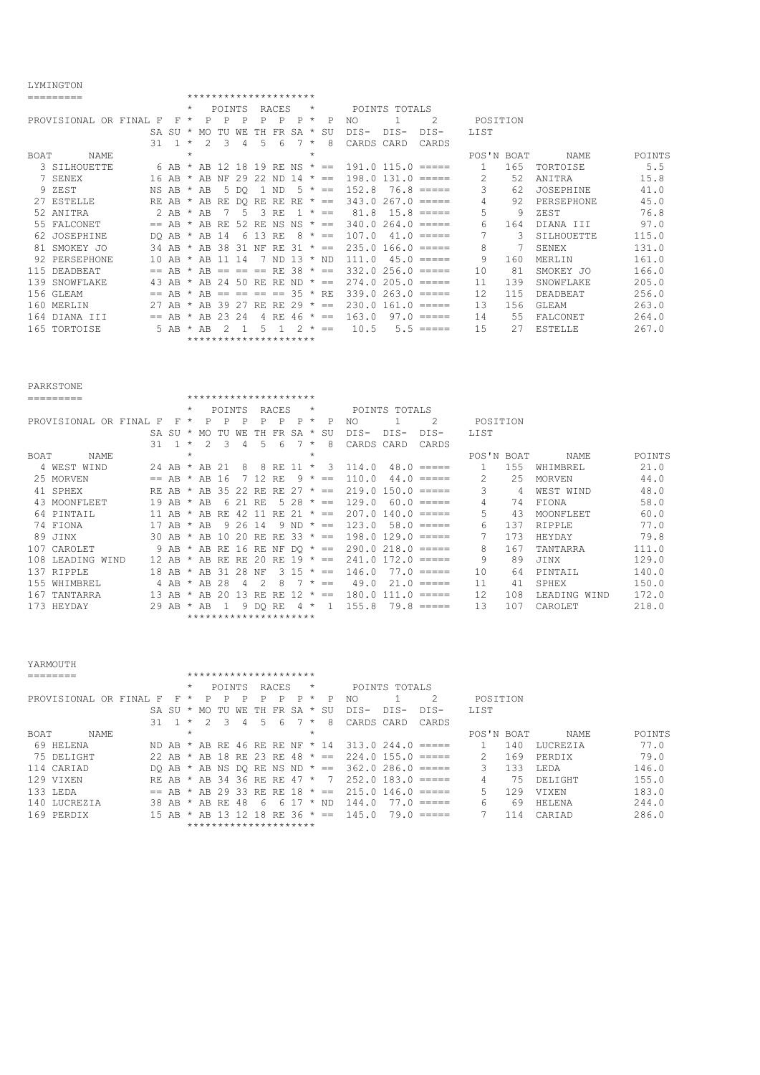## LYMINGTON

|             | TIMING TAM             |      |         |         |     |        |     |                       |       |           |         |            |            |               |                        |            |     |                   |        |
|-------------|------------------------|------|---------|---------|-----|--------|-----|-----------------------|-------|-----------|---------|------------|------------|---------------|------------------------|------------|-----|-------------------|--------|
|             | =========              |      |         |         |     |        |     | ********************* |       |           |         |            |            |               |                        |            |     |                   |        |
|             |                        |      |         | $\star$ |     | POINTS |     |                       | RACES |           | $\star$ |            |            | POINTS TOTALS |                        |            |     |                   |        |
|             | PROVISIONAL OR FINAL F |      | F       | $\star$ | P   | Ρ      | Ρ   | P                     | P     | P         | $\star$ | P          | NO         |               | 2                      | POSITION   |     |                   |        |
|             |                        |      | SA SU   | $\star$ | MO. |        |     |                       | FR    | SA        | $\star$ | SU         | DIS-       | $DIS-$        | DIS-                   | LIST       |     |                   |        |
|             |                        | 31   |         | $\star$ | 2   | 3      | 4   | 5                     | 6     |           | $\star$ | 8          | CARDS CARD |               | CARDS                  |            |     |                   |        |
| <b>BOAT</b> | NAME                   |      |         | $\star$ |     |        |     |                       |       |           | $\star$ |            |            |               |                        | POS'N BOAT |     | NAME              | POINTS |
|             | 3 SILHOUETTE           |      | 6 AB    |         | AB  | 12     | 18  | 19.                   | RE.   | NS        | $\star$ | $= -$      |            |               | $191.0$ $115.0$ $====$ | 1.         | 165 | TORTOISE          | 5.5    |
|             | 7 SENEX                |      | 16 AB   |         | AB  | NF     | 29  | 22                    | ND.   | 14        | $\star$ | $==$       |            |               | $198.0 131.0 = ==$     | 2          | 52  | ANITRA            | 15.8   |
|             | 9 ZEST                 |      | NS AB   | $\star$ | AB  | 5      | DO. |                       | ND    | .5.       | $\star$ | $=$        | 152.8      |               | $76.8$ =====           | 3          | 62  | JOSEPHINE         | 41.0   |
|             | 27 ESTELLE             |      | RE AB   |         | AB  | RE.    | DO. | RF.                   | RF.   | RE.       | $\star$ | $=$ $=$    |            |               | $343.0267.0 == ==$     | 4          | 92  | <b>PERSEPHONE</b> | 45.0   |
|             | 52 ANTTRA              |      | $2$ AB  | $\star$ | AB  |        |     | 3                     | RF.   |           | $\star$ | $=$        | 81.8       |               | $15.8$ =====           | 5          | 9   | ZEST              | 76.8   |
|             | 55 FALCONET            |      | AR      |         | AB  | -RE    | 52. | RE.                   | NS    | NS        | $\star$ | $==$       | 340.0      | 264.0         | $= = = = = =$          | 6          | 164 | DIANA III         | 97.0   |
|             | 62 JOSEPHINE           |      | DO AB   |         | AB  | 14     | 6   | 13                    | RE.   |           | $\star$ | $=$        | 107.0      |               | $41.0$ =====           | 7          | 3   | SILHOUETTE        | 115.0  |
|             | 81 SMOKEY JO           |      | 34 AB   |         | AB  | 38     | 31  | NF                    | RE.   | -31       | $\star$ | $=$        |            |               | $235.0$ 166.0 $====$   | 8          |     | SENEX             | 131.0  |
| 92          | PERSEPHONE             |      | 10 AB   | $\star$ | AR  |        | -14 |                       | ND.   | $13 * ND$ |         |            | 111.0      | 45.0          | $= = = = = =$          | 9          | 160 | MERLIN            | 161.0  |
| 115         | DEADBEAT               | $==$ | AB      |         | AB  | $=$    |     | $=$                   | RF.   | -38       |         | $\star$ == |            |               | $332.0256.0 == ==$     | 10         | 81  | SMOKEY JO         | 166.0  |
| 139         | SNOWFLAKE              | 43   | AB      |         | AB  | 24     | 50. | RE.                   | RF.   | $ND * ==$ |         |            |            |               | $274.0205.0 == ==$     | 11         | 139 | <b>SNOWFLAKE</b>  | 205.0  |
|             | 156 GLEAM              | $==$ | AB      | $\star$ | AB  | $=$    |     | $==$                  | $==$  | $35 * RF$ |         |            |            |               | $339.0263.0 == ==$     | 12.        | 115 | DEADBEAT          | 256.0  |
|             | 160 MERLIN             | 27   | AB      |         | AB  | 39     |     | RF.                   | RE.   | 29        | $\star$ | $=$        | 230.0      |               | $161.0$ =====          | 13         | 156 | GLEAM             | 263.0  |
| 164         | DTANA<br>TTT           |      | $== AR$ |         | AB  | ク3     | 24  |                       | RE.   | 46        | $\star$ | $=$        | 163.0      |               | $97.0 == ==$           | 14         | 55  | <b>FALCONET</b>   | 264.0  |
|             | 165 TORTOISE           |      | 5 AB    | $\star$ | AB  |        |     | 5                     |       |           | $\star$ | $=$        | 10.5       |               | $5.5 == ==$            | 1.5        | 2.7 | <b>ESTELLE</b>    | 267.0  |
|             |                        |      |         |         |     |        |     | ********************* |       |           |         |            |            |               |                        |            |     |                   |        |

|                                                                                                                                                  | <b>PARKSTONE</b><br>*********************<br>========= |                 |       |         |    |           |     |                       |       |     |         |           |        |                 |                                      |          |     |               |       |
|--------------------------------------------------------------------------------------------------------------------------------------------------|--------------------------------------------------------|-----------------|-------|---------|----|-----------|-----|-----------------------|-------|-----|---------|-----------|--------|-----------------|--------------------------------------|----------|-----|---------------|-------|
|                                                                                                                                                  |                                                        |                 |       |         |    |           |     |                       |       |     |         |           |        |                 |                                      |          |     |               |       |
|                                                                                                                                                  |                                                        |                 |       | $\star$ |    | POINTS    |     |                       | RACES |     | $\star$ |           |        | POINTS TOTALS   |                                      |          |     |               |       |
|                                                                                                                                                  | PROVISIONAL OR FINAL                                   | F               | F     | $\star$ | P  | P         | Ρ   | Ρ                     | P     | P   | $\star$ | P         | NO.    |                 | $\mathfrak{D}$                       | POSITION |     |               |       |
|                                                                                                                                                  |                                                        | SA.             | -SU   | $\star$ | MO |           |     | TН                    | FR    | SA  | $\star$ | SU        | $DTS-$ | $DTS-$          | $DIS-$                               | LIST     |     |               |       |
|                                                                                                                                                  |                                                        | 31              |       | $\star$ |    | Β         | 4   | 5.                    | 6     |     | $\star$ | 8         | CARDS  | CARD            | CARDS                                |          |     |               |       |
| $\star$<br>$\star$<br>BOAT<br>POS'N BOAT<br>NAME<br>155<br>4 WEST<br>WIND<br>114.0<br>$48.0$ =====<br>AB<br>AB<br>8<br>24<br>$\star$<br>8<br>RF. |                                                        |                 |       |         |    |           |     |                       |       |     |         |           |        |                 | <b>NAME</b>                          | POINTS   |     |               |       |
|                                                                                                                                                  |                                                        |                 |       |         |    |           |     |                       |       |     |         |           |        |                 |                                      |          |     | WHIMBREL      | 21.0  |
|                                                                                                                                                  | 25 MORVEN                                              | $=$             | AB    | $\star$ | AB | -6        |     |                       | RF.   |     | $\star$ | $==$      | 110.0  | 44.0            | $\equiv \equiv \equiv \equiv \equiv$ | 2        | 25  | <b>MORVEN</b> | 44.0  |
|                                                                                                                                                  | 41 SPHEX                                               | RF.             | AB    | $\star$ | AB | 35        |     | RE.                   | RF.   |     | $\star$ | $=$       | 219.0  |                 | $150.0 = == ==$                      | 3        | 4   | WEST WIND     | 48.0  |
|                                                                                                                                                  | 43 MOONFLEET                                           |                 | 19 AB | $\star$ | AB | 6         |     | RF.                   | 5     | 28  | $\star$ | $=$       | 129.0  |                 | $60.0 == ==$                         | 4        | 74  | FIONA         | 58.0  |
| 64                                                                                                                                               | PINTAIL                                                | 11              | AR    | $\star$ | AB | RE.       |     |                       | RF.   |     | $\star$ | $=$       | 207.0  | $140.0 = == ==$ |                                      | 5        | 43  | MOONFLEET     | 60.0  |
|                                                                                                                                                  | 74 FIONA                                               | 17              | AB    | $\star$ | AB | q         | 26  | 14                    | 9     | ND. | $\star$ | $=$       | 123.0  |                 | $58.0 == ==$                         | 6        | 137 | RTPPLE        | 77.0  |
|                                                                                                                                                  | 89 JINX                                                |                 | 30 AB | $\star$ | AB | $\bigcap$ | 20  | RE.                   | RE    | 33  | $\star$ | $=$       | 198.0  | $129.0 = == ==$ |                                      |          | 173 | HEYDAY        | 79.8  |
| 107                                                                                                                                              | CAROLET                                                |                 | 9 AB  | $\star$ | AB | RE        | 16  | RE                    | ΝF    |     |         | $DO * ==$ | 290.0  | $218.0$ =====   |                                      | 8        | 167 | TANTARRA      | 111.0 |
| 108                                                                                                                                              | LEADING<br><b>WTND</b>                                 | 12 <sub>1</sub> | AB    |         | AB | RF.       | RE. |                       | RF.   | 19  | $\star$ | $=$       | 241.0  | 172.0           | $\equiv \equiv \equiv \equiv \equiv$ | 9        | 89  | JINX          | 129.0 |
| 137                                                                                                                                              | RTPPLE                                                 |                 | 18 AB | $\star$ | AB | 31        | 28  | NF                    | 3     | .5  | $\star$ | $=$       | 146.0  |                 | $77.0$ =====                         | 10       | 64  | PINTAIL       | 140.0 |
| 155                                                                                                                                              | WHIMBREL                                               |                 | 4 AB  | $\star$ | AB | 28        |     |                       | 8     |     | $\star$ | $=$       | 49.0   |                 | $21.0 == ==$                         | 11       | 41  | SPHEX         | 150.0 |
| 167                                                                                                                                              | TANTARRA                                               |                 | 13 AB | $\star$ | AB |           | 13  | RE.                   | -RF.  | 12  | $\star$ | $=$       | 180.0  | $111.0$ =====   |                                      | 12       | 108 | LEADING WIND  | 172.0 |
| 173                                                                                                                                              | HEYDAY                                                 |                 | 29 AB | $\star$ | AB |           |     | DO.                   | RE    |     |         |           | 155.8  |                 | $79.8$ =====                         | 13       | 107 | CAROLET       | 218.0 |
|                                                                                                                                                  |                                                        |                 |       |         |    |           |     | ********************* |       |     |         |           |        |                 |                                      |          |     |               |       |

| YARMOUTH                          |                             |                                               |                                |                          |        |
|-----------------------------------|-----------------------------|-----------------------------------------------|--------------------------------|--------------------------|--------|
|                                   |                             | *********************                         |                                |                          |        |
|                                   | POINTS<br>$\star$           | RACES<br>$\star$                              | POINTS TOTALS                  |                          |        |
| PROVISIONAL OR FINAL<br>F         | F<br>$\star$<br>P<br>P<br>P | P<br>P<br>P<br>P<br>$\star$                   | NO                             | POSITION                 |        |
| SA SU                             | WF.<br>MO.<br>TU<br>$\star$ | TH FR SA *<br>SU                              | $DTS-$<br>DTS-<br>$DTS-$       | <b>LIST</b>              |        |
| 31                                | $\star$<br>2<br>3<br>4      | 5<br>8<br>6<br>$\star$                        | CARDS CARD<br>CARDS            |                          |        |
| NAME<br>BOAT                      | $\star$                     | $\star$                                       |                                | NAME.<br>POS'N BOAT      | POINTS |
| 69<br><b>HELENA</b>               |                             | ND AB $*$ AB RE 46 RE RE NF $*$ 14            | 313.0 244.0<br>$=$ $=$ $=$ $=$ | 140<br>LUCREZIA          | 77.0   |
| 75 DELIGHT                        |                             | 22 AB * AB 18 RE 23 RE 48 * ==                | $224.0$ 155.0 $====$           | 169<br>PERDIX            | 79.0   |
| 114 CARIAD                        | DO AB * AB NS DO RE NS ND   | $\star$ $==$                                  | $362.0286.0 == ==$             | 3<br><b>T.EDA</b><br>133 | 146.0  |
| 129 VIXEN                         |                             | RE AB * AB 34 36 RE RE 47 *<br>$\overline{7}$ | $252.0$ 183.0 =====            | DELTGHT<br>75            | 155.0  |
| 133 LEDA                          |                             | $==$ AB * AB 29 33 RE RE 18 * ==              | $215.0$ 146.0 =====            | 5<br><b>VTXEN</b><br>129 | 183.0  |
| <b>LUCREZIA</b><br>140<br>38 AB * | AB RE 48                    | * ND<br>6<br>- 17<br>6                        | 144.0<br>77.0<br>------        | HELENA<br>69<br>6        | 244.0  |
| 169 PERDIX                        | 15 AB * AB<br>- 13          | RE 36 $* ==$<br>18                            | 145.0<br>$79.0 = == ==$        | CARTAD<br>114            | 286.0  |
|                                   |                             | *********************                         |                                |                          |        |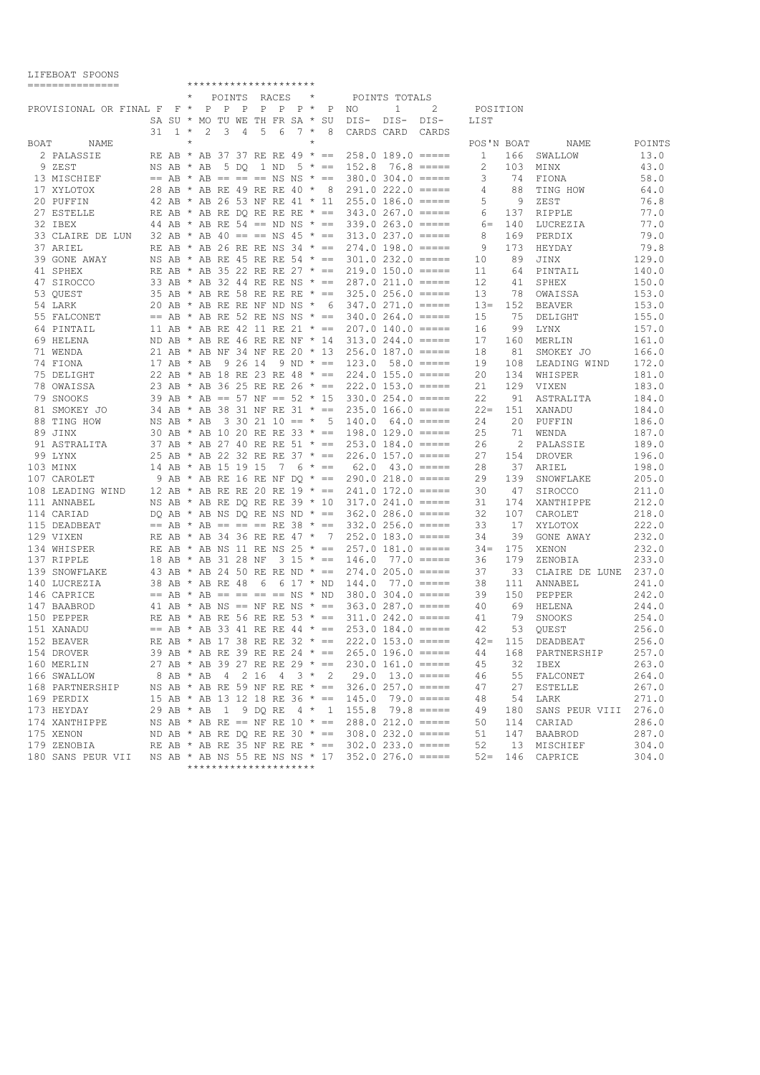|      | ===============                               |    |                                      |         |   |                         |   |   | *********************     |                          |         |                               |                                                  |               |                                                    |              |     |                      |        |
|------|-----------------------------------------------|----|--------------------------------------|---------|---|-------------------------|---|---|---------------------------|--------------------------|---------|-------------------------------|--------------------------------------------------|---------------|----------------------------------------------------|--------------|-----|----------------------|--------|
|      |                                               |    |                                      | $\star$ |   |                         |   |   | POINTS RACES              |                          | $\star$ |                               |                                                  | POINTS TOTALS |                                                    |              |     |                      |        |
|      | PROVISIONAL OR FINAL F F * P P P P P P * P NO |    |                                      |         |   |                         |   |   |                           |                          |         |                               |                                                  | $\mathbf{1}$  | 2                                                  | POSITION     |     |                      |        |
|      |                                               |    | SA SU * MO TU WE TH FR SA * SU       |         |   |                         |   |   |                           |                          |         |                               | DIS- DIS-                                        |               | DIS-                                               | LIST         |     |                      |        |
|      |                                               | 31 | $1 *$                                |         | 2 | $\overline{\mathbf{3}}$ | 4 | 5 | 6                         | $7 *$                    |         | 8                             | CARDS CARD                                       |               | CARDS                                              |              |     |                      |        |
| BOAT | NAME                                          |    |                                      | $\star$ |   |                         |   |   |                           |                          | $\star$ |                               |                                                  |               |                                                    | POS'N BOAT   |     | NAME                 | POINTS |
|      | 2 PALASSIE                                    |    | RE AB * AB 37 37 RE RE 49 * ==       |         |   |                         |   |   |                           |                          |         |                               | $258.0$ 189.0 =====                              |               |                                                    | $\mathbf{1}$ |     | 166 SWALLOW          | 13.0   |
|      | 9 ZEST                                        |    | NS AB * AB                           |         |   |                         |   |   | 5 DO 1 ND                 |                          |         | $5 * ==$                      | 152.8                                            |               | $76.8$ =====                                       | 2            | 103 | MINX                 | 43.0   |
|      | 13 MISCHIEF                                   |    | $==$ AB * AB $== == == NS NS$ * $==$ |         |   |                         |   |   |                           |                          |         |                               |                                                  |               | $380.0$ $304.0$ $====$                             | 3            | 74  | FIONA                | 58.0   |
|      | 17 XYLOTOX                                    |    | 28 AB * AB RE 49 RE RE 40 * 8        |         |   |                         |   |   |                           |                          |         |                               |                                                  |               | $291.0 222.0 == ==$                                | 4            | 88  | TING HOW             | 64.0   |
|      |                                               |    |                                      |         |   |                         |   |   |                           |                          |         |                               |                                                  |               |                                                    |              |     |                      |        |
|      | 20 PUFFIN                                     |    |                                      |         |   |                         |   |   |                           |                          |         |                               |                                                  |               | 42 AB * AB 26 53 NF RE 41 * 11 255.0 186.0 =====   | 5            | 9   | ZEST                 | 76.8   |
|      | 27 ESTELLE                                    |    | RE AB * AB RE DO RE RE RE * ==       |         |   |                         |   |   |                           |                          |         |                               | $343.0267.0 == ==$                               |               |                                                    | 6            | 137 | RIPPLE               | 77.0   |
|      | 32 IBEX                                       |    |                                      |         |   |                         |   |   |                           |                          |         |                               |                                                  |               | 44 AB * AB RE 54 == ND NS * == 339.0 263.0 =====   | $6=$         | 140 | LUCREZIA             | 77.0   |
|      | 33 CLAIRE DE LUN                              |    |                                      |         |   |                         |   |   |                           |                          |         |                               | 32 AB * AB 40 == == NS 45 * == 313.0 237.0 ===== |               |                                                    | 8            | 169 | PERDIX               | 79.0   |
|      | 37 ARIEL                                      |    |                                      |         |   |                         |   |   |                           |                          |         |                               | RE AB * AB 26 RE RE NS 34 * == 274.0 198.0 ===== |               |                                                    | 9            | 173 | HEYDAY               | 79.8   |
|      | 39 GONE AWAY                                  |    |                                      |         |   |                         |   |   |                           |                          |         |                               |                                                  |               | NS AB * AB RE 45 RE RE 54 * == 301.0 232.0 =====   | 10           | 89  | JINX                 | 129.0  |
|      | 41 SPHEX                                      |    | RE AB * AB 35 22 RE RE 27 * ==       |         |   |                         |   |   |                           |                          |         |                               | $219.0$ 150.0 =====                              |               |                                                    | 11           | 64  | PINTAIL              | 140.0  |
|      | 47 SIROCCO                                    |    |                                      |         |   |                         |   |   |                           |                          |         |                               | 33 AB * AB 32 44 RE RE NS * == 287.0 211.0 ===== |               |                                                    | 12           | 41  | SPHEX                | 150.0  |
|      | 53 QUEST                                      |    |                                      |         |   |                         |   |   |                           |                          |         |                               | 35 AB * AB RE 58 RE RE RE * == 325.0 256.0 ===== |               |                                                    | 13           | 78  | OWAISSA              | 153.0  |
|      | 54 LARK                                       |    | 20 AB * AB RE RE NF ND NS * 6        |         |   |                         |   |   |                           |                          |         |                               |                                                  |               | $347.0271.0 == ==$                                 | $13=$        | 152 | BEAVER               | 153.0  |
|      | 55 FALCONET                                   |    | $==$ AB * AB RE 52 RE NS NS * ==     |         |   |                         |   |   |                           |                          |         |                               | $340.0264.0 == ==$                               |               |                                                    | 15           | 75  | DELIGHT              | 155.0  |
|      | 64 PINTAIL                                    |    |                                      |         |   |                         |   |   |                           |                          |         |                               | 11 AB * AB RE 42 11 RE 21 * == 207.0 140.0 ===== |               |                                                    | 16           | 99  | LYNX                 | 157.0  |
|      | 69 HELENA                                     |    | ND AB $*$ AB RE 46 RE RE NF $*$ 14   |         |   |                         |   |   |                           |                          |         |                               | $313.0244.0 == ==$                               |               |                                                    | 17           | 160 | MERLIN               | 161.0  |
|      | 71 WENDA                                      |    | 21 AB * AB NF 34 NF RE 20 * 13       |         |   |                         |   |   |                           |                          |         |                               |                                                  |               | $256.0$ 187.0 $====$                               | 18           | 81  | SMOKEY JO            | 166.0  |
|      | 74 FIONA                                      |    | 17 AB $\star$ AB                     |         |   | 9 26 14                 |   |   |                           | $9 \text{ ND } \star ==$ |         |                               | $123.0$ 58.0 $====$                              |               |                                                    | 19           | 108 | LEADING WIND         | 172.0  |
|      |                                               |    |                                      |         |   |                         |   |   |                           |                          |         |                               | 22 AB * AB 18 RE 23 RE 48 * == 224.0 155.0 ===== |               |                                                    |              |     |                      |        |
|      | 75 DELIGHT                                    |    |                                      |         |   |                         |   |   |                           |                          |         |                               |                                                  |               |                                                    | 20           | 134 | WHISPER              | 181.0  |
|      | 78 OWAISSA                                    |    |                                      |         |   |                         |   |   |                           |                          |         |                               | 23 AB * AB 36 25 RE RE 26 * == 222.0 153.0 ===== |               |                                                    | 21           | 129 | VIXEN                | 183.0  |
|      | 79 SNOOKS                                     |    | 39 AB * AB == 57 NF == 52 * 15       |         |   |                         |   |   |                           |                          |         |                               |                                                  |               | $330.0$ $254.0$ $====$                             | 22           | 91  | ASTRALITA            | 184.0  |
|      | 81 SMOKEY JO                                  |    | 34 AB * AB 38 31 NF RE 31 * ==       |         |   |                         |   |   |                           |                          |         |                               |                                                  |               | $235.0$ 166.0 =====                                | $22 =$       | 151 | XANADU               | 184.0  |
|      | 88 TING HOW                                   |    | NS AB * AB                           |         |   |                         |   |   | $3 \t30 \t21 \t10 == * 5$ |                          |         |                               | $140.0 \quad 64.0 \quad == ==$                   |               |                                                    | 24           | 20  | PUFFIN               | 186.0  |
|      | 89 JINX                                       |    | 30 AB * AB 10 20 RE RE 33 * ==       |         |   |                         |   |   |                           |                          |         |                               | $198.0$ 129.0 =====                              |               |                                                    | 25           | 71  | WENDA                | 187.0  |
|      | 91 ASTRALITA                                  |    | 37 AB * AB 27 40 RE RE 51 * ==       |         |   |                         |   |   |                           |                          |         |                               |                                                  |               | $253.0$ 184.0 $====$                               | 26           | 2   | PALASSIE             | 189.0  |
|      | 99 LYNX                                       |    |                                      |         |   |                         |   |   |                           |                          |         |                               | 25 AB * AB 22 32 RE RE 37 * == 226.0 157.0 ===== |               |                                                    | 27           | 154 | DROVER               | 196.0  |
|      | 103 MINX                                      |    | 14 AB * AB 15 19 15                  |         |   |                         |   |   |                           | $7\quad 6\quad * =$      |         |                               |                                                  |               | $62.0 \quad 43.0 \quad == ==$                      | 28           | 37  | ARIEL                | 198.0  |
|      | 107 CAROLET                                   |    |                                      |         |   |                         |   |   |                           |                          |         |                               | 9 AB * AB RE 16 RE NF DO * == 290.0 218.0 =====  |               |                                                    | 29           | 139 | SNOWFLAKE            | 205.0  |
|      | 108 LEADING WIND                              |    |                                      |         |   |                         |   |   |                           |                          |         |                               | 12 AB * AB RE RE 20 RE 19 * == 241.0 172.0 ===== |               |                                                    | 30           | 47  | SIROCCO              | 211.0  |
|      | 111 ANNABEL                                   |    |                                      |         |   |                         |   |   |                           |                          |         |                               | NS AB * AB RE DO RE RE 39 * 10 317.0 241.0 ===== |               |                                                    | 31           | 174 | XANTHIPPE            | 212.0  |
|      | 114 CARIAD                                    |    |                                      |         |   |                         |   |   |                           |                          |         |                               | DO AB * AB NS DO RE NS ND * == 362.0 286.0 ===== |               |                                                    | 32           | 107 | CAROLET              | 218.0  |
|      | 115 DEADBEAT                                  |    | $==$ AB * AB $== == ==$ RE 38 * $==$ |         |   |                         |   |   |                           |                          |         |                               |                                                  |               | $332.0256.0 == ==$                                 | 33           | 17  | XYLOTOX              | 222.0  |
|      | 129 VIXEN                                     |    |                                      |         |   |                         |   |   |                           |                          |         | RE AB * AB 34 36 RE RE 47 * 7 |                                                  |               | $252.0$ 183.0 $====$                               | 34           | 39  |                      | 232.0  |
|      |                                               |    |                                      |         |   |                         |   |   |                           |                          |         |                               |                                                  |               |                                                    |              |     | GONE AWAY            |        |
|      | 134 WHISPER                                   |    | RE AB * AB NS 11 RE NS 25 * ==       |         |   |                         |   |   |                           |                          |         |                               |                                                  |               | $257.0$ 181.0 $====$                               | $34 =$       | 175 | XENON                | 232.0  |
|      | 137 RIPPLE                                    |    | 18 AB * AB 31 28 NF                  |         |   |                         |   |   |                           |                          |         | $3\ 15 \ * \ =$               | $146.0$ 77.0 $====$                              |               |                                                    | 36           | 179 | ZENOBIA              | 233.0  |
|      | 139 SNOWFLAKE                                 |    |                                      |         |   |                         |   |   |                           |                          |         |                               |                                                  |               | 43 AB * AB 24 50 RE RE ND * == 274.0 205.0 =====   | 37           | 33  | CLAIRE DE LUNE       | 237.0  |
|      | 140 LUCREZIA                                  |    | 38 AB * AB RE 48 6                   |         |   |                         |   |   | 6 17 * ND                 |                          |         |                               | 144.0                                            |               | $77.0$ =====                                       | 38           | 111 | ANNABEL              | 241.0  |
|      | 146 CAPRICE                                   |    | $==$ AB * AB == == == == NS * ND     |         |   |                         |   |   |                           |                          |         |                               | $380.0$ $304.0$ $====$                           |               |                                                    | 39           | 150 | PEPPER               | 242.0  |
|      | 147 BAABROD                                   |    |                                      |         |   |                         |   |   |                           |                          |         |                               | 41 AB * AB NS == NF RE NS * == 363.0 287.0 ===== |               |                                                    | 40           | 69  | HELENA               | 244.0  |
|      | 150 PEPPER                                    |    |                                      |         |   |                         |   |   |                           |                          |         |                               |                                                  |               | RE AB * AB RE 56 RE RE 53 * == 311.0 242.0 =====   | 41           | 79  | SNOOKS               | 254.0  |
|      | 151 XANADU                                    |    |                                      |         |   |                         |   |   |                           |                          |         |                               |                                                  |               | $==$ AB * AB 33 41 RE RE 44 * == 253.0 184.0 ===== | 42           | 53  | OUEST                | 256.0  |
|      | 152 BEAVER                                    |    |                                      |         |   |                         |   |   |                           |                          |         |                               |                                                  |               | RE AB * AB 17 38 RE RE 32 * == 222.0 153.0 =====   | $42 -$       | 115 | DEADBEAT             | 256.0  |
|      | 154 DROVER                                    |    |                                      |         |   |                         |   |   |                           |                          |         |                               |                                                  |               | 39 AB * AB RE 39 RE RE 24 * == 265.0 196.0 =====   | 44           |     | 168 PARTNERSHIP      | 257.0  |
|      | 160 MERLIN                                    |    |                                      |         |   |                         |   |   |                           |                          |         |                               |                                                  |               | 27 AB * AB 39 27 RE RE 29 * == 230.0 161.0 =====   | 45           |     | 32 IBEX              | 263.0  |
|      | 166 SWALLOW                                   |    |                                      |         |   |                         |   |   |                           |                          |         |                               |                                                  |               | 8 AB * AB 4 2 16 4 3 * 2 29.0 13.0 =====           | 46           |     | 55 FALCONET          | 264.0  |
|      | 168 PARTNERSHIP                               |    |                                      |         |   |                         |   |   |                           |                          |         |                               |                                                  |               | NS AB * AB RE 59 NF RE RE * == 326.0 257.0 =====   | 47           | 27  | ESTELLE              | 267.0  |
|      |                                               |    |                                      |         |   |                         |   |   |                           |                          |         |                               |                                                  |               |                                                    | 48           |     |                      |        |
|      | 169 PERDIX                                    |    |                                      |         |   |                         |   |   |                           |                          |         |                               |                                                  |               | 15 AB * AB 13 12 18 RE 36 * == 145.0 79.0 =====    |              |     | 54 LARK              | 271.0  |
|      | 173 HEYDAY                                    |    |                                      |         |   |                         |   |   |                           |                          |         |                               |                                                  |               | 29 AB * AB 1 9 DQ RE 4 * 1 155.8 79.8 =====        | 49           | 180 | SANS PEUR VIII 276.0 |        |
|      | 174 XANTHIPPE                                 |    |                                      |         |   |                         |   |   |                           |                          |         |                               |                                                  |               | NS AB * AB RE == NF RE 10 * == 288.0 212.0 =====   | 50           |     | 114 CARIAD           | 286.0  |
|      | 175 XENON                                     |    |                                      |         |   |                         |   |   |                           |                          |         |                               |                                                  |               | ND AB * AB RE DQ RE RE 30 * == 308.0 232.0 =====   | 51           |     | 147 BAABROD          | 287.0  |
|      | 179 ZENOBIA                                   |    |                                      |         |   |                         |   |   |                           |                          |         |                               |                                                  |               | RE AB * AB RE 35 NF RE RE * == $302.0233.0$ =====  | 52           |     | 13 MISCHIEF          | 304.0  |
|      | 180 SANS PEUR VII                             |    |                                      |         |   |                         |   |   |                           |                          |         |                               |                                                  |               | NS AB * AB NS 55 RE NS NS * 17 352.0 276.0 =====   |              |     | 52= 146 CAPRICE      | 304.0  |
|      |                                               |    |                                      |         |   |                         |   |   | *********************     |                          |         |                               |                                                  |               |                                                    |              |     |                      |        |

LIFEBOAT SPOONS